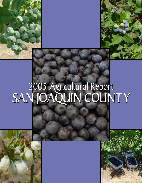# 2005 Agricultural Report SAN JOAQUIN COUNTY 2005 Agricultural Report SAN JOAQUIN COUNTY



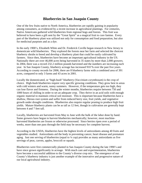#### **Blueberries in San Joaquin County**

One of the few fruits native to North America, blueberries are rapidly gaining in popularity among consumers, as evidenced by a recent increase in agricultural plantings. For centuries, Native Americans gathered wild blueberries from regional bogs and forests. This fruit was believed to have been a gift sent by the "Great Spirit" as a magical fruit to cure famine. Every part of the blueberry plant was utilized not only for consumption and food preparation, but also for medicinal purposes and as a dye.

In the early 1900's, Elizabeth White and Dr. Frederick Coville began research in New Jersey to domesticate wild blueberries. They explored the forests near her farm and selected the choicest blueberry shrubs to breed and develop a blueberry plant that could be easily cultivated by farmers. Since then, blueberries have become an important agricultural industry in the US. Nationally there are over 46,000 acres being harvested in 35 states by more than 2,000 growers. In 2004, there was a record 232.2 million pounds harvested and the numbers are increasing each year. In San Joaquin County, blueberry acreage has increased 910 % over the past five years. According to county records for 2006, there are 8 blueberry farms with a combined area of 391 acres, compared to only 3 farms and 43 acres in 2001.

Locally the domesticated, or "high-bush" blueberry (*Vaccinium corymbosum*) is the crop of choice. High-bush blueberries require very specific growing conditions. They grow best in areas with cold winters and warm, sunny summers. However, if the temperature gets too high, they can lose flavor and firmness. During the winter months, blueberries require between 750 and 1000 hours of chilling in order to set an adequate crop. They thrive in an acid soils with enough organic material to maintain critical soil moisture. This is important because blueberries have a shallow, fibrous root system and suffer from reduced berry size, fruit yields, and vegetative growth under drought conditions. Blueberries also require regular pruning to produce high fruit yields. Mature blueberry plants can be as tall as 12 feet, though in cultivation are generally kept between 4 and 7 feet tall.

Locally, blueberries are harvested from May to June with the bulk of the labor done by hand. Some growers have begun to harvest blueberries mechanically; however, most machineharvested blueberries are frozen or otherwise processed. Since berries ripen over a period of weeks, more than one pass through the field may be necessary for complete harvest.

According to the USDA, blueberries have the highest levels of antioxidants among 40 fruits and vegetables studied. Antioxidants aid the body in preventing cancer, heart disease and premature aging. Just one serving of blueberries (equal to  $\frac{1}{4}$  cup) provides as many antioxidants as five servings of peas, carrots, apples, broccoli or squash.

Blueberries were first commercially planted in San Joaquin County during the late 1990's and have since grown significantly in acreage. With much care and experimentation, blueberries have become a successful addition to the County's diverse crop mix. The emergence of our County's blueberry industry is just another example of the innovative and progressive nature of our local agricultural industry.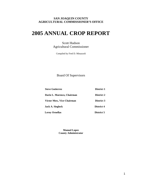#### **SAN JOAQUIN COUNTY AGRICULTURAL COMMISSIONER'S OFFICE**

# **2005 ANNUAL CROP REPORT**

Scott Hudson Agricultural Commissioner

Compiled by Fred D. Minazzoli

Board Of Supervisors

| <b>Steve Gutierrez</b>           | <b>District 1</b> |
|----------------------------------|-------------------|
| Dario L. Marenco, Chairman       | District 2        |
| <b>Victor Mow, Vice Chairman</b> | <b>District 3</b> |
| Jack A. Sieglock                 | <b>District 4</b> |
| <b>Leroy Ornellas</b>            | District 5        |

**Manuel Lopez County Administrator**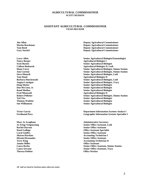#### **AGRICULTURAL COMMISSIONER SCOTT HUDSON**

#### **ASSISTANT AGRICULTURAL COMMISSIONER VICKI HELMAR**

**Jamise Miller Community Community Community Community Community Community Community Community Community Community Community Community Community Community Community Community Community Community Community Community Communi Theresa Poblete Office Worker <b>Office Worker Office Worker** 

**Jim Allan** Deputy Agricultural Commissioner **Martin Brockman Deputy Agricultural Commissioner Tom Reed Deputy Agricultural Commissioner Gary Stockel Deputy Agricultural Commissioner** 

**Larry Allen Senior Agricultural Biologist/Entomologist Nancy Barger Agricultural Biologist I** *Agricultural Biologist I* **Scott Barnes Senior Agricultural Biologist**  Senior Agricultural Biologist **Colleen Bednarek Agricultural Biologist II, Lodi Diane Curry Senior Agricultural Biologist, Simms Station Ann Curtoni Senior Agricultural Biologist, Simms Station Steve Dinardi Senior Agricultural Biologist, Lodi Senior Agricultural Biologist, Lodi Tom Doud Agricultural Biologist II Agricultural Biologist II Barbara Huecksteadt Senior Agricultural Biologist, Lodi August Lansigan Senior Agricultural Biologist, Tracy Doug Mattes Senior Agricultural Biologist Don McCoon, Jr.** Senior Agricultural Biologist **Senior Agricultural Biologist Rand Medina Senior Agricultural Biologist Senior Agricultural Biologist Fred Minazzoli Agricultural Biologist II Agricultural Biologist II Robert Pelletier Senior Agricultural Biologist, Simms Station** *Senior Agricultural Biologist, Simms Station* **Ted Viss Senior Agricultural Biologist Senior Agricultural Biologist Thomas Watkins Senior Agricultural Biologist Senior Agricultural Biologist Sue Williamson Senior Agricultural Biologist** 

**Victor Garcia Department Information Systems Analyst I Ferdinand Pura Geographic Information Systems Specialist I** 

**Mary Jo Avagliano Administrative Secretary Jo Aring-Tengonciang Senior Office Assistant, Lodi Senior Office Assistant, Lodi Rachel Dawson Senior Office Assistant Hazel Gallego Office Assistant Specialist Carol Giuffre** Senior Office Assistant **Senior Office Assistant Sharon Hawkins Accounting Technician I Accounting Technician I Hiromi Hernandez Senior Office Assistant Terry King Accounting Technician II Accounting Technician II Laura Rocha Senior Office Assistant, Simms Station Laura Serrano Senior Office Assistant, Tracy** 

**All staff are based in Stockton unless otherwise noted.**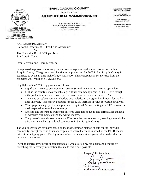#### **SAN JOAQUIN COUNTY**

OFFICE OF THE

**AGRICULTURAL COMMISSIONER** 

POST OFFICE BOX 1809 STOCKTON, CALIFORNIA 95201-1809 PHONE: 209/468-3300 FAX: 209/468-3330

MAIN OFFICE - STOCKTON 1868 E. HAZELTON AVE.

LODI OFFICE 210 N. SACRAMENTO ST.

**TRACY OFFICE** 503 E 10TH STREET

**SIMMS STATION - RIPON** 17620 E. HWY 120

**SCOTT HUDSON** AGRICULTURAL COMMISSIONER SEALER OF WEIGHTS & MEASURES ANIMAL CONTROL

**VICKI HELMAR**<br>ASST. AGRICULTURAL COMMISSIONER<br>ASST. SEALER OF WEIGHTS & MEASURES

A.G. Kawamura, Secretary California Department Of Food And Agriculture And The Honorable Board Of Supervisors San Joaquin County

Dear Secretary and Board Members:

I am pleased to present the seventy-second annual report of agricultural production in San Joaquin County. The gross value of agricultural production for 2005 in San Joaquin County is estimated to be an all time high of \$1,749,113,000. This represents an 8% increase from the estimated 2004 value of \$1,613,289,000.

Highlights of the 2005 crop year are as follows:

- Significant increases occurred in Livestock & Poultry and Fruit & Nut Crops values.
- Milk is the county's most valuable agricultural commodity again in 2005. Even though milk production increased, lower prices caused a net decrease in value of 3%.
- The value of replacement dairy heifers was included in the agricultural report for the first time this year. This mostly accounts for the 125% increase in value for Cattle & Calves.
- Wine grape acreage, yields, and prices were up in 2005, contributing to a 53% increase in total grape value from the previous year.
- Cherries and other stone fruit crops suffered yield losses due to late spring rains and lack of adequate chill hours during the winter months.
- The price of almonds rose more than 20% from the previous season, keeping almonds the third most valuable agricultural commodity in San Joaquin County.

The values shown are estimates based on the most common method of sale for the individual commodity, except for fresh fruits and vegetables where the value is based on the F.O.B packed price at the shipping point. The figures contained in this report are gross values rather than net returns to the grower.

I wish to express my sincere appreciation to all who assisted my biologists and deputies by furnishing the necessary information that made this report possible.

Respectfully Submitted *Scott |* 

Scott Hudson. **Agricultural Commissioner**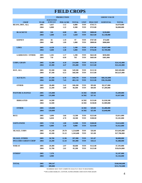# **FIELD CROPS**

|                            |              |                  | <b>PRODUCTION</b> |                    |                            |                      | <b>GROSS VALUE</b>         |                              |
|----------------------------|--------------|------------------|-------------------|--------------------|----------------------------|----------------------|----------------------------|------------------------------|
|                            |              | <b>HARVESTED</b> |                   |                    |                            |                      |                            |                              |
| <b>CROP</b>                | <b>YEAR</b>  | <b>ACREAGE</b>   | <b>PER ACRE</b>   | <b>TOTAL</b>       | <b>UNIT</b>                | <b>PER UNIT</b>      | <b>SUBTOTAL</b>            | <b>TOTAL</b>                 |
| <b>BEANS, DRY, ALL</b>     | 2005<br>2004 | 5,637<br>6,800   | 1.12<br>1.22      | 6,800<br>8,300     | <b>TON</b><br><b>TON</b>   | \$743.75<br>\$723.00 |                            | \$4,970,000<br>\$6,000,000   |
|                            |              |                  |                   |                    |                            |                      |                            |                              |
| <b>BLACKEYE</b>            | 2005         | 326              | 0.88              | 286                | <b>TON</b>                 | \$800.00             | \$228,000                  |                              |
|                            | 2004         | 1,600            | 1.14              | 1,820              | <b>TON</b>                 | \$625.00             | \$1,140,000                |                              |
|                            |              |                  |                   |                    |                            |                      |                            |                              |
| <b>KIDNEY</b>              | 2005         | 82               | 1.19              | 97                 | <b>TON</b>                 | \$767.00             | \$74,600                   |                              |
|                            | 2004         | 900              | 1.09              | 1,000              | <b>TON</b>                 | \$800.00             | \$800,000                  |                              |
| <b>LIMA</b>                | 2005         | 4,128            | 1.23              | 5,100              | <b>TON</b>                 | \$767.00             | \$3,837,000                |                              |
|                            | 2004         | 3,600            | 1.40              | 5,000              | <b>TON</b>                 | \$756.00             | \$3,789,000                |                              |
|                            |              |                  |                   |                    |                            |                      |                            |                              |
| <b>GARBANZO / OTHER</b>    | 2005         | 1,101            | 1.17              | 1,290              | <b>TON</b>                 | \$641.00             | \$830,000                  |                              |
|                            | 2004         | 710              | 0.99              | 703                | <b>TON</b>                 | \$683.00             | \$481,000                  |                              |
|                            |              |                  |                   |                    |                            |                      |                            |                              |
| <b>CORN, GRAIN</b>         | 2005<br>2004 | 52,300<br>43,300 | 4.10<br>4,47      | 214,600<br>193,400 | <b>TON</b><br><b>TON</b>   | \$112.50<br>\$115.00 |                            | \$24,142,000<br>\$22,242,000 |
|                            |              |                  |                   |                    |                            |                      |                            |                              |
| HAY, ALL                   | 2005         | 95,500           | 5.06              | 549,500            | <b>TON</b>                 | \$113.50             |                            | \$69,569,000                 |
|                            | 2004         | 87,100           | 6.53              | 568,500            | <b>TON</b>                 | \$115.00             |                            | \$65,625,000                 |
|                            |              |                  |                   |                    |                            |                      |                            |                              |
| <b>ALFALFA</b>             | 2005         | 67,100           | 6.70              | 449,570            | <b>TON</b>                 | \$134.00             | \$60,242,000               |                              |
|                            | 2004         | 64,900           | 7.43              | 482,118            | <b>TON</b>                 | \$121.00             | \$58,336,000               |                              |
| <b>OTHER</b>               | 2005         | 28,400           | 3.42              | 100,200            | <b>TON</b>                 | \$93.00              | \$9,327,000                |                              |
|                            | 2004         | 22,200           | 3.89              | 86,400             | <b>TON</b>                 | \$84.00              | \$7,289,000                |                              |
|                            |              |                  |                   |                    |                            |                      |                            |                              |
| <b>PASTURE &amp; RANGE</b> | 2005         | 135,000          |                   |                    | <b>ACRE</b>                | \$38.00              |                            | \$5,409,000                  |
|                            | 2004         | 135,000          |                   |                    | $\bf{ACRE}$                | \$37.45              |                            | \$5,037,000                  |
|                            |              |                  |                   |                    |                            |                      |                            |                              |
| <b>IRRIGATED</b>           | 2005<br>2004 | 14,500<br>14,500 |                   |                    | <b>ACRE</b><br><b>ACRE</b> | \$133.00<br>\$138.00 | \$1,928,500<br>\$1,989,000 |                              |
|                            |              |                  |                   |                    |                            |                      |                            |                              |
| <b>OTHER</b>               | 2005         | 120,000          |                   |                    | <b>ACRE</b>                | \$29.00              | \$3,480,000                |                              |
|                            | 2004         | 120,000          |                   |                    | <b>ACRE</b>                | \$25.00              | \$3,048,000                |                              |
|                            |              |                  |                   |                    |                            |                      |                            |                              |
| <b>RICE</b>                | 2005         | 3,690            | 3.66              | 13,500             | <b>TON</b>                 | \$223.00             |                            | \$3,011,000                  |
|                            | 2004         | 6,030            | 4.70              | 28,300             | <b>TON</b>                 | \$180.00             |                            | \$5,101,000                  |
| <b>SAFFLOWER</b>           | 2005         | 7,710            | 1.80              | 13,900             | <b>TON</b>                 | \$260.00             |                            | \$3,614,000                  |
|                            | 2004         | 6,000            | 1.50              | 9,000              | <b>TON</b>                 | \$214.00             |                            | \$1,922,000                  |
|                            |              |                  |                   |                    |                            |                      |                            |                              |
| <b>SILAGE, CORN</b>        | 2005         | 41,240           | 29.70             | 1,224,800          | <b>TON</b>                 | \$26.00              |                            | \$31,845,000                 |
|                            | 2004         | 43,100           | 31.22             | 1,345,600          | <b>TON</b>                 | \$21.00              |                            | \$27,706,000                 |
| <b>SILAGE, OTHER</b>       | 2005         | 30,700           | 12.96             | 397,900            | <b>TON</b>                 | \$21.87              |                            | \$8,808,000                  |
| <b>INCLUDES GREEN CHOP</b> | 2004         | 24,200           | 12.43             | 301,000            | <b>TON</b>                 | \$18.23              |                            | \$5,488,000                  |
|                            |              |                  |                   |                    |                            |                      |                            |                              |
| <b>WHEAT</b>               | 2005         | 20,400           | 2.97              | 60,600             | <b>TON</b>                 | \$122.00             |                            | \$7,393,000                  |
|                            | 2004         | 32,700           | 2.61              | 85,200             | <b>TON</b>                 | \$125.00             |                            | \$10,654,000                 |
|                            |              |                  |                   |                    |                            |                      |                            |                              |
| OTHER*                     | 2005         | 7,370            |                   |                    |                            |                      |                            | \$2,187,000                  |
|                            | 2004         | 4,980            |                   |                    |                            |                      |                            | \$1,526,000                  |
|                            |              |                  |                   |                    |                            |                      |                            |                              |
| <b>TOTAL</b>               | 2005         | 399,547          |                   |                    |                            |                      |                            | \$160,948,000                |
|                            | 2004         | 389,000          |                   |                    |                            |                      |                            | \$151,763,000                |
|                            |              |                  |                   |                    |                            |                      |                            |                              |

NUMBERS MAY NOT COMPUTE EXACTLY DUE TO ROUNDING

**\*** INCLUDES BARLEY, COTTON, SUNFLOWERS AND OATS FOR GRAIN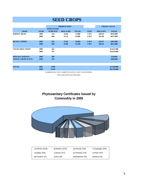#### **SEED CROPS**

|                                |             |                  | <b>PRODUCTION</b> |              |             | <b>GROSS VALUE</b> |              |
|--------------------------------|-------------|------------------|-------------------|--------------|-------------|--------------------|--------------|
|                                |             | <b>HARVESTED</b> |                   |              |             |                    |              |
| <b>CROP</b>                    | <b>YEAR</b> | <b>ACREAGE</b>   | <b>PER ACRE</b>   | <b>TOTAL</b> | <b>UNIT</b> | <b>PER UNIT</b>    | <b>TOTAL</b> |
| <b>KIDNEY BEAN</b>             | 2005        | 742              | 24.00             | 17,808       | <b>CWT</b>  | \$38.50            | \$670,000    |
|                                | 2004        | 660              | 22.10             | 14,600       | <b>CWT</b>  | \$45.00            | \$657,000    |
| <b>BEANS, OTHER</b>            | 2005        | 595              | 23.66             | 14,085       | <b>CWT</b>  | \$36.47            | \$463,000    |
|                                | 2004        | 589              | 25.88             | 15,246       | <b>CWT</b>  | \$40.34            | \$615,000    |
| <b>VEGETABLE SEED*</b>         | 2005        | 432              |                   |              |             |                    | \$2,011,000  |
|                                | 2004        | 787              |                   |              |             |                    | \$4,919,000  |
| <b>MISCELLANEOUS,</b>          | 2005        | 200              |                   |              |             |                    | \$54,000     |
| <b>SUDAN, GRAIN &amp; ETC.</b> | 2004        | 570              |                   |              |             |                    | \$368,000    |
|                                |             |                  |                   |              |             |                    |              |
| <b>TOTAL</b>                   | 2005        | 1,969            |                   |              |             |                    | \$3,198,000  |
|                                | 2004        | 2,610            |                   |              |             |                    | \$6,559,000  |

 NUMBERS MAY NOT COMPUTE EXACTLY DUE TO ROUNDING \*INCLUDES POTATO FOR SEED

#### **Phytosanitary Certificates Issued by Commodity in 2005**



| $\blacksquare$ Cherries (6143) | <b>2</b> Walnuts (1072)  | $\blacksquare$ Almonds (764) | $\Box$ Asparagus (440)     |
|--------------------------------|--------------------------|------------------------------|----------------------------|
| $\Box$ Apples (334)            | $\Box$ Onions (271)      | <b>Tomatoes</b> (176)        | $\blacksquare$ Pears (167) |
| <b>■</b> Pumpkins 61)          | $\blacksquare$ Rice (36) | <b>B</b> Blueberries (35)    | $\blacksquare$ Beans (24)  |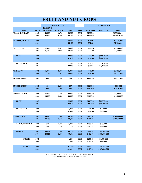# **FRUIT AND NUT CROPS**

|                       |             |                | <b>PRODUCTION</b> |              |             |                 | <b>GROSS VALUE</b> |               |
|-----------------------|-------------|----------------|-------------------|--------------|-------------|-----------------|--------------------|---------------|
|                       |             | <b>BEARING</b> |                   |              |             |                 |                    |               |
| <b>CROP</b>           | <b>YEAR</b> | <b>ACREAGE</b> | <b>PER ACRE</b>   | <b>TOTAL</b> | <b>UNIT</b> | <b>PER UNIT</b> | <b>SUBTOTAL</b>    | <b>TOTAL</b>  |
| <b>ALMOND, MEATS</b>  | 2005        | 43,000         | 0.72              | 30,900       | <b>TON</b>  | \$5,380.50      |                    | \$166,580,000 |
|                       | 2004        | 42,900         | 0.89              | 38,200       | <b>TON</b>  | \$4,509.00      |                    | \$172,030,000 |
| <b>ALMOND, HULLS</b>  | 2005        |                |                   | 77,400       | <b>TON</b>  | \$94.80         |                    | \$7,338,000   |
|                       | 2004        |                |                   | 95,400       | <b>TON</b>  | \$81.00         |                    | \$7,726,000   |
| <b>APPLES, ALL</b>    | 2005        | 5,880          | 11.05             | 65,000       | <b>TON</b>  | \$559.14        |                    | \$36,344,000  |
|                       | 2004        | 5,597          | 12.53             | 70,113       | <b>TON</b>  | \$543.34        |                    | \$38,094,000  |
| <b>FRESH</b>          | 2005        |                |                   | 42,900       | <b>TON</b>  | \$832.00        | \$34,971,000       |               |
|                       | 2004        |                |                   | 47,050       | <b>TON</b>  | \$770.00        | \$36,232,000       |               |
| <b>PROCESSING</b>     | 2005        |                |                   | 22,100       | <b>TON</b>  | \$62.12         | \$1,373,000        |               |
|                       | 2004        |                |                   | 23,060       | <b>TON</b>  | \$80.74         | \$1,862,000        |               |
| <b>APRICOTS</b>       | 2005        | 1,095          | 9.00              | 9,900        | <b>TON</b>  | \$373.00        |                    | \$3,693,000   |
|                       | 2004        | 1,139          | 9.31              | 10,600       | <b>TON</b>  | \$430.00        |                    | \$4,579,000   |
| <b>BLUEBERRIES*</b>   | 2005        | 197            | 2.40              | 473          | <b>TON</b>  | \$6,000.00      |                    | \$2,837,000   |
| <b>BUSHBERRIES*</b>   | 2005        | 52             | 2.64              | 137          | <b>TON</b>  | \$3,233.00      |                    | \$444,000     |
|                       | 2004        | 189            | 3.00              | 530          | <b>TON</b>  | \$3,823.00      |                    | \$2,026,000   |
| <b>CHERRIES, ALL</b>  | 2005        | 15,500         | 1.60              | 24,800       | <b>TON</b>  | \$3,900.00      |                    | \$91,822,000  |
|                       | 2004        | 16,200         | 2.65              | 43,000       | <b>TON</b>  | \$2,280.00      |                    | \$97,904,000  |
| <b>FRESH</b>          | 2005        |                |                   | 22,600       | <b>TON</b>  | \$4,053.00      | \$91,598,000       |               |
|                       | 2004        |                |                   | 37,030       | <b>TON</b>  | \$2,628.00      | \$97,304,000       |               |
| <b>PROCESSING</b>     | 2005        |                |                   | 2,240        | <b>TON</b>  | \$100.00        | \$224,000          |               |
|                       | 2004        |                |                   | 6,000        | <b>TON</b>  | \$100.00        | \$600,000          |               |
| <b>GRAPES, ALL</b>    | 2005        | 96,243         | 7.36              | 708,000      | <b>TON</b>  | \$409.24        |                    | \$289,744,000 |
|                       | 2004        | 84,265         | 5.57              | 469,731      | <b>TON</b>  | \$401.98        |                    | \$188,824,000 |
| <b>TABLE, CRUSHED</b> | 2005        | 571            | 2.40              | 1,370        | <b>TON</b>  | \$150.00        | \$206,000          |               |
|                       | 2004        | 650            | 3.26              | 2,120        | <b>TON</b>  | \$205.69        | \$436,000          |               |
| <b>WINE, ALL</b>      | 2005        | 95,672         | 7.39              | 706,740      | <b>TON</b>  | \$409.68        | \$289,538,000      |               |
|                       | 2004        | 83,615         | 5.59              | 467,611      | <b>TON</b>  | \$402.87        | \$188,388,000      |               |
| <b>FRESH</b>          | 2005        |                |                   | 4,240        | <b>TON</b>  | \$255.59        | \$1,084,000        |               |
|                       | 2004        |                |                   | 3,400        | <b>TON</b>  | \$250.00        | \$850,000          |               |
| <b>CRUSHED</b>        | 2005        |                |                   | 702,500      | <b>TON</b>  | \$410.61        | \$288,454,000      |               |
|                       | 2004        |                |                   | 464,211      | <b>TON</b>  | \$403.99        | \$187,538,000      |               |

NUMBERS MAY NOT COMPUTE EXACTLY DUE TO ROUNDING \*2004 NUMBER INCLUDED IN BUSHBERRIES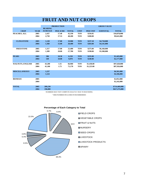# **FRUIT AND NUT CROPS**

|                         |             |                | <b>PRODUCTION</b> |              |             |                 | <b>GROSS VALUE</b> |               |
|-------------------------|-------------|----------------|-------------------|--------------|-------------|-----------------|--------------------|---------------|
|                         |             | <b>BEARING</b> |                   |              |             |                 |                    |               |
| <b>CROP</b>             | <b>YEAR</b> | <b>ACREAGE</b> | <b>PER ACRE</b>   | <b>TOTAL</b> | <b>UNIT</b> | <b>PER UNIT</b> | <b>SUBTOTAL</b>    | <b>TOTAL</b>  |
| PEACHES, ALL            | 2005        | 2,437          | 17.40             | 42,330       | <b>TON</b>  | \$256.05        |                    | \$10,878,000  |
|                         | 2004        | 2,750          | 17.53             | 48,200       | <b>TON</b>  | \$200.00        |                    | \$9,641,000   |
|                         |             |                |                   |              |             |                 |                    |               |
| <b>CLINGSTONE</b>       | 2005        | 1,120          | 17.80             | 19,900       | <b>TON</b>  | \$237.10        | \$4,718,000        |               |
|                         | 2004        | 1,360          | 15.00             | 20,400       | <b>TON</b>  | \$203.00        | \$4,141,000        |               |
|                         |             |                |                   |              |             |                 |                    |               |
| <b>FREESTONE</b>        | 2005        | 1,317          | 17.00             | 22,400       | <b>TON</b>  | \$275.00        | \$6,160,000        |               |
|                         | 2004        | 1,389          | 20.00             | 27,780       | <b>TON</b>  | \$198.00        | \$5,500,000        |               |
|                         |             |                |                   |              |             |                 |                    |               |
| <b>PEARS</b>            | 2005        | 586            | 10.50             | 6,150        | <b>TON</b>  | \$235.00        |                    | \$1,445,000   |
|                         | 2004        | 549            | 18.00             | 9,070        | <b>TON</b>  | \$240.00        |                    | \$2,177,000   |
|                         |             |                |                   |              |             |                 |                    |               |
| <b>WALNUTS, ENGLISH</b> | 2005        | 43,200         | 1.55              | 66,960       | <b>TON</b>  | \$1,458.00      |                    | \$97,628,000  |
|                         | 2004        | 41,100         | 1.73              | 71,170       | <b>TON</b>  | \$1,223.00      |                    | \$87,926,000  |
| <b>MISCELLANEOUS</b>    | 2005        | 1,237          |                   |              |             |                 |                    | \$6,501,000   |
|                         | 2004        | 1,124          |                   |              |             |                 |                    | \$4,106,000   |
|                         |             |                |                   |              |             |                 |                    |               |
| <b>BIOMASS</b>          | 2005        |                |                   |              |             |                 |                    | \$2,052,000   |
|                         | 2004        |                |                   |              |             |                 |                    | \$2,242,000   |
|                         |             |                |                   |              |             |                 |                    |               |
| <b>TOTAL</b>            | 2005        | 209,230        |                   |              |             |                 |                    | \$714,469,000 |
|                         | 2004        | 196,000        |                   |              |             |                 |                    | \$617,275,000 |

NUMBERS MAY NOT COMPUTE EXACTLY DUE TO ROUNDING

\*2004 NUMBER INCLUDED IN BUSHBERRIES

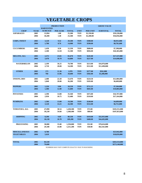# **VEGETABLE CROPS**

|                      |             |                  | <b>PRODUCTION</b> |              |             |                 | <b>GROSS VALUE</b> |               |
|----------------------|-------------|------------------|-------------------|--------------|-------------|-----------------|--------------------|---------------|
|                      |             | <b>HARVESTED</b> |                   |              |             |                 |                    |               |
| <b>CROP</b>          | <b>YEAR</b> | <b>ACREAGE</b>   | <b>PER ACRE</b>   | <b>TOTAL</b> | <b>UNIT</b> | <b>PER UNIT</b> | <b>SUBTOTAL</b>    | <b>TOTAL</b>  |
| <b>ASPARAGUS</b>     | 2005        | 13,994           | 1.80              | 25,200       | <b>TON</b>  | \$2,350.00      |                    | \$59,220,000  |
|                      | 2004        | 18,200           | 1.40              | 25,500       | <b>TON</b>  | \$2,200.00      |                    | \$56,056,000  |
| <b>CORN, SWEET</b>   | 2005        | 3,120            | 9.32              | 29,100       | <b>TON</b>  | \$308.00        |                    | \$8,931,000   |
|                      | 2004        | 1,700            | 8.76              | 14,900       | <b>TON</b>  | \$590.00        |                    | \$8,781,000   |
| <b>CUCUMBERS</b>     | 2005        | 1,450            | 8.50              | 12,330       | <b>TON</b>  | \$600.00        |                    | \$7,398,000   |
|                      | 2004        | 2,180            | 14.50             | 31,500       | <b>TON</b>  | \$836.00        |                    | \$26,365,000  |
| <b>MELONS, ALL</b>   | 2005        | 2,372            | 23.81             | 81,670       | <b>TON</b>  | \$245.00        |                    | \$17,537,000  |
|                      | 2004        | 3,470            | 18.70             | 64,800       | <b>TON</b>  | \$227.00        |                    | \$14,698,000  |
| <b>WATERMELON</b>    | 2005        | 2,199            | 36.25             | 79,700       | <b>TON</b>  | \$213.00        | \$16,976,000       |               |
|                      | 2004        | 2,710            | 20.00             | 54,200       | <b>TON</b>  | \$212.00        | \$11,490,000       |               |
| <b>OTHER</b>         | 2005        | 173              | 11.36             | 1,970        | <b>TON</b>  | \$277.00        | \$561,000          |               |
|                      | 2004        | 760              | 13.96             | 10,600       | <b>TON</b>  | \$302.00        | \$3,208,000        |               |
| <b>ONIONS, DRY</b>   | 2005        | 2,400            | 22.28             | 53,470       | <b>TON</b>  | \$224.50        |                    | \$12,004,000  |
|                      | 2004        | 1,840            | 20.00             | 36,200       | <b>TON</b>  | \$183.00        |                    | \$6,609,000   |
| <b>PEPPERS</b>       | 2005        | 1,226            | 9.06              | 10,550       | <b>TON</b>  | \$711.25        |                    | \$7,504,000   |
|                      | 2004        | 1,300            | 12.00             | 15,600       | <b>TON</b>  | \$692.00        |                    | \$10,804,000  |
| <b>POTATOES</b>      | 2005        | 2,390            | 14.88             | 35,560       | <b>TON</b>  | \$472.80        |                    | \$16,767,000  |
|                      | 2004        | 2,950            | 18.75             | 55,400       | <b>TON</b>  | \$310.00        |                    | \$17,164,000  |
| <b>PUMPKINS</b>      | 2005        | 1,506            | 13.00             | 19,580       | <b>TON</b>  | \$240.00        |                    | \$4,699,000   |
|                      | 2004        | 3,120            | 14.21             | 44,300       | <b>TON</b>  | \$152.00        |                    | \$6,751,000   |
| TOMATOES, ALL        | 2005        | 47,090           | 30.54             | 1,438,300    | <b>TON</b>  | \$72.00         |                    | \$103,551,000 |
|                      | 2004        | 39,230           | 34.68             | 1,360,400    | <b>TON</b>  | \$80.00         |                    | \$107,053,000 |
| <b>SHIPPING</b>      | 2005        | 8,290            | 9.69              | 80,330       | <b>TON</b>  | \$410.00        | \$32,935,000       |               |
|                      | 2004        | 10,130           | 10.78             | 109,200      | <b>TON</b>  | \$408.00        | \$44,492,000       |               |
| <b>PROCESSING</b>    | 2005        | 38,800           | 35.00             | 1,358,000    | <b>TON</b>  | \$52.00         | \$70,616,000       |               |
|                      | 2004        | 29,100           | 43.00             | 1,251,200    | <b>TON</b>  | \$50.00         | \$62,561,000       |               |
| <b>MISCELLANEOUS</b> | 2005        | 8,780            |                   |              |             |                 |                    | \$25,942,000  |
| <b>VEGETABLES</b>    | 2004        | 5,610            |                   |              |             |                 |                    | \$18,859,000  |
|                      |             |                  |                   |              |             |                 |                    |               |
| <b>TOTAL</b>         | 2005        | 84,328           |                   |              |             |                 |                    | \$263,553,000 |
|                      | 2004        | 79,600           |                   |              |             |                 |                    | \$273,140,000 |

NUMBERS MAY NOT COMPUTE EXACTLY DUE TO ROUNDING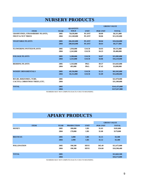### **NURSERY PRODUCTS**

|                                               | <b>QUANTITY</b><br><b>SOLD</b> |              |                 |               |
|-----------------------------------------------|--------------------------------|--------------|-----------------|---------------|
|                                               |                                |              |                 |               |
| <b>ITEM</b><br><b>YEAR</b>                    |                                | <b>UNIT</b>  | <b>PER UNIT</b> | <b>TOTAL</b>  |
| <b>GRAPEVINES, STRAWBERRY PLANTS,</b><br>2005 | 70,639,000                     | <b>PLANT</b> | \$0.09          | \$6,311,000   |
| <b>FRUIT &amp; NUT TREES</b><br>2004          | 212,349,000                    | <b>PLANT</b> | \$0.06          | \$13,192,000  |
| <b>VEGETABLE PLANTS</b><br>2005               | 266,265,000                    | <b>PLANT</b> | \$0.04          | \$10,264,000  |
| 2004                                          | 280,656,000                    | <b>PLANT</b> | \$0.03          | \$9,277,000   |
| <b>FLOWERING POTTED PLANTS</b><br>2005        | 1,936,000                      | <b>EACH</b>  | \$4.93          | \$9,535,000   |
| 2004                                          | 2,241,000                      | <b>EACH</b>  | \$4.23          | \$9,480,000   |
| <b>FOLIAGE PLANTS</b><br>2005                 | 3,280,000                      | <b>EACH</b>  | \$4.87          | \$15,985,000  |
| 2004                                          | 3,335,000                      | <b>EACH</b>  | \$4.86          | \$16,219,000  |
| <b>BEDDING PLANTS</b><br>2005                 | 1,543,000                      | <b>PKG</b>   | \$9.37          | \$14,463,000  |
| 2004                                          | 495,000                        | <b>PKG</b>   | \$7.45          | \$3,690,000   |
| <b>WOODY ORNAMENTALS</b><br>2005              | 49,556,000                     | <b>EACH</b>  | \$1.25          | \$61,945,000  |
| 2004                                          | 50,212,000                     | <b>EACH</b>  | \$1.09          | \$54,490,000  |
| 2005<br><b>BULBS, RHIZOMES, TURF,</b>         |                                |              |                 | \$22,970,000  |
| CACTUS, CHRISTMAS TREES, ETC.<br>2004         |                                |              |                 | \$31,309,000  |
| <b>TOTAL</b><br>2005                          |                                |              |                 | \$141,473,000 |
| 2004                                          |                                |              |                 | \$137,657,000 |

NUMBERS MAY NOT COMPUTE EXACTLY DUE TO ROUNDING

# **APIARY PRODUCTS**

|                    |             |             |                   |             | <b>GROSS VALUE</b> |              |
|--------------------|-------------|-------------|-------------------|-------------|--------------------|--------------|
|                    | <b>ITEM</b> | <b>YEAR</b> | <b>PRODUCTION</b> | <b>UNIT</b> | <b>PER UNIT</b>    | <b>TOTAL</b> |
| <b>HONEY</b>       |             | 2005        | 180,000           | <b>LBS</b>  | \$1.03             | \$185,000    |
|                    |             | 2004        | 179,000           | <b>LBS</b>  | \$1.00             | \$179,000    |
|                    |             |             |                   |             |                    |              |
| <b>BEESWAX</b>     |             | 2005        | 3,000             | <b>LBS</b>  | \$1.15             | \$3,500      |
|                    |             | 2004        | 2,990             | <b>LBS</b>  | \$1.12             | \$3,300      |
|                    |             |             |                   |             |                    |              |
| <b>POLLINATION</b> |             | 2005        | 190,500           | <b>HIVE</b> | \$65.49            | \$12,475,000 |
|                    |             | 2004        | 190,300           | <b>HIVE</b> | \$54.60            | \$10,390,400 |
|                    |             |             |                   |             |                    |              |
| <b>TOTAL</b>       |             | 2005        |                   |             |                    | \$12,663,500 |
|                    |             | 2004        |                   |             |                    | \$10,573,000 |
|                    |             |             |                   |             |                    |              |

NUMBERS MAY NOT COMPUTE EXACTLY DUE TO ROUNDING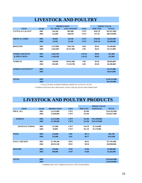### **LIVESTOCK AND POULTRY**

|                             |             | <b>PRODUCTION</b> |                    |             |                 | <b>GROSS VALUE</b> |
|-----------------------------|-------------|-------------------|--------------------|-------------|-----------------|--------------------|
| <b>ITEM</b>                 | <b>YEAR</b> | <b>NO. HEAD</b>   | <b>LIVE WEIGHT</b> | <b>UNIT</b> | <b>PER UNIT</b> | <b>TOTAL</b>       |
| <b>CATTLE &amp; CALVES*</b> | 2005        | 156,160           | 885,980            | <b>CWT</b>  | \$102.78        | \$91,057,000       |
|                             | 2004        | 122,600           | 566,630            | <b>CWT</b>  | \$71.58         | \$40,559,000       |
| <b>SHEEP &amp; LAMBS</b>    | 2005        | 20,000            | 26,740             | <b>CWT</b>  | \$103.00        | \$2,661,000        |
|                             | 2004        | 19,500            | 25,350             | <b>CWT</b>  | \$105.30        | \$2,668,000        |
| <b>BROILERS</b>             | 2005        | 1,473,800         | 7,663,760          | <b>LBS</b>  | \$0.45          | \$3,449,000        |
|                             | 2004        | 1,942,600         | 10,471,000         | <b>LBS</b>  | \$0.45          | \$4,712,000        |
| <b>OTHER CHICKENS</b>       | 2005        | 1,042,700         |                    | <b>EACH</b> | \$0.02          | \$21,000           |
| <b>&amp; SPENT HENS</b>     | 2004        | 1,248,100         |                    | <b>EACH</b> | \$0.02          | \$25,000           |
| <b>TURKEYS</b>              | 2005        | 538,060           | 20,812,000         | <b>LBS</b>  | \$0.39          | \$8,050,000        |
|                             | 2004        | 450,200           | 17,359,700         | <b>LBS</b>  | \$0.38          | \$6,586,000        |
| <b>OTHER LIVESTOCK**</b>    | 2005        |                   |                    |             |                 | \$5,275,000        |
|                             | 2004        |                   |                    |             |                 | \$6,914,000        |
|                             |             |                   |                    |             |                 |                    |
| <b>TOTAL</b>                | 2005        |                   |                    |             |                 | \$110,513,000      |
|                             | 2004        |                   |                    |             |                 | \$61,464,000       |

\*VALUE OF REPLACEMENT HEIFERS ADDED TO CATTLE & CALVES

\*\*OTHER LIVESTOCK INCLUDES HOGS, GOATS, SQUAB, DUCKS AND OTHER FOWL

#### **LIVESTOCK AND POULTRY PRODUCTS**

|                      |             |                   |             |                 | <b>GROSS VALUE</b> |               |
|----------------------|-------------|-------------------|-------------|-----------------|--------------------|---------------|
| <b>ITEM</b>          | <b>YEAR</b> | <b>PRODUCTION</b> | <b>UNIT</b> | <b>PER UNIT</b> | <b>SUBTOTAL</b>    | <b>TOTAL</b>  |
| <b>MILK, ALL</b>     | 2005        | 22,352,000        | <b>CWT</b>  | \$14.00         |                    | \$314,565,000 |
|                      | 2004        | 21,846,000        | <b>CWT</b>  | \$15.00         |                    | \$324,657,000 |
|                      |             |                   |             |                 |                    |               |
| <b>MARKET</b>        | 2005        | 22,235,000        | <b>CWT</b>  | \$14.00         | \$312,840,000      |               |
|                      | 2004        | 21,768,000        | <b>CWT</b>  | \$15.00         | \$323,478,000      |               |
|                      |             |                   |             |                 |                    |               |
| <b>MANUFACTURING</b> | 2005        | 117,000           | <b>CWT</b>  | \$14.70         | \$1,724,000        |               |
|                      | 2004        | 78,000            | <b>CWT</b>  | \$15.10         | \$1,179,000        |               |
|                      |             |                   |             |                 |                    |               |
| <b>WOOL</b>          | 2005        | 119,000           | <b>LBS</b>  | \$0.72          |                    | \$85,700      |
|                      | 2004        | 132,000           | <b>LBS</b>  | \$0.77          |                    | \$101,000     |
|                      |             |                   |             |                 |                    |               |
| <b>EGGS, CHICKEN</b> | 2005        | 41,709,340        | $\bf{D}OZ$  | \$0.41          |                    | \$17,101,000  |
|                      | 2004        | 49,923,340        | $\bf{D}OZ$  | \$0.58          |                    | \$28,898,000  |
|                      |             |                   |             |                 |                    |               |
| <b>MANURE</b>        | 2005        | 378,000           | <b>TON</b>  | \$5.00          |                    | \$1,890,000   |
|                      | 2004        | 399,000           | <b>TON</b>  | \$3.00          |                    | \$1,202,000   |
|                      |             |                   |             |                 |                    |               |
|                      |             |                   |             |                 |                    |               |
| <b>TOTAL</b>         | 2005        |                   |             |                 |                    | \$333,642,000 |
|                      | 2004        |                   |             |                 |                    | \$354,858,000 |

NUMBERS MAY NOT COMPUTE EXACTLY DUE TO ROUNDING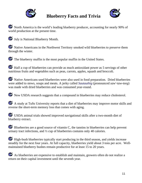

# **Blueberry Facts and Trivia**



North America is the world's leading blueberry producer, accounting for nearly 90% of world production at the present time.



July is National Blueberry Month.

 Native Americans in the Northwest Territory smoked wild blueberries to preserve them through the winter.



The blueberry muffin is the most popular muffin in the United States.

Half a cup of blueberries can provide as much antioxidant power as 5 servings of other nutritious fruits and vegetables such as peas, carrots, apples, squash and broccoli.

 Native Americans used blueberries were also used in food preparation. Dried blueberries were added to stews, soups and meats. A jerky called *[Sautauthig](http://www.blueberry.org/sautauhig.htm)* (pronounced *saw'-taw-teeg*) was made with dried blueberries and was consumed year-round.

New USDA research suggests that a compound in blueberries may reduce cholesterol.

 A study at Tufts University reports that a diet of blueberries may improve motor skills and reverse the short-term memory loss that comes with aging.

 USDA animal trials showed improved navigational skills after a two-month diet of blueberry extract.

Blueberries are a good source of vitamin C, the tannins in blueberries can help prevent urinary tract infections, and ½ cup of blueberries contains only 40 calories.

 High-bush blueberries typically start producing in the third season, and yields increase steadily for the next four years. At full capacity, blueberries yield about 3 tons per acre. Wellmaintained blueberry bushes remain productive for at least 15 to 20 years.

 As blueberries are expensive to establish and maintain, growers often do not realize a return on their capital investment until the seventh year.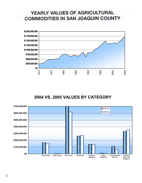# YEARLY VALUES OF AGRICULTURAL **COMMODITIES IN SAN JOAQUIN COUNTY**



#### **2004 VS. 2005 VALUES BY CATEGORY**

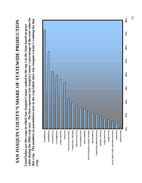# **SAN JOAQUIN COUNTY'S SHARE OF STATEWIDE PRODUCTION**  SAN JOAQUIN COUNTY'S SHARE OF STATEWIDE PRODUCTION

**value during the 2004 crop year. The bars represent San Joaquin County's percentage of the state value for**  value during the 2004 crop year. The bars represent San Joaquin County's percentage of the state value for **that crop. The numbers in parentheses next to the crop labels show San Joaquin County's ranking for that**  that crop. The numbers in parentheses next to the crop labels show San Joaquin County's ranking for that **Listed below are the crops in which San Joaquin County ranked in the top 5 in the State based on gross**  Listed below are the crops in which San Joaquin County ranked in the top 5 in the State based on gross **crop.** 

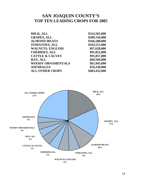#### **SAN JOAQUIN COUNTY'S TOP TEN LEADING CROPS FOR 2005**

| MILK, ALL                  | \$314,565,000 |
|----------------------------|---------------|
| <b>GRAPES, ALL</b>         | \$289,744,000 |
| <b>ALMOND MEATS</b>        | \$166,580,000 |
| <b>TOMATOES, ALL</b>       | \$103,551,000 |
| <b>WALNUTS, ENGLISH</b>    | \$97,628,000  |
| <b>CHERRIES, ALL</b>       | \$91,822,000  |
| <b>CATTLE &amp; CALVES</b> | \$91,057,000  |
| HAY, ALL                   | \$69,569,000  |
| <b>WOODY ORNAMENTALS</b>   | \$61,945,000  |
| <b>ASPARAGUS</b>           | \$59,220,000  |
| <b>ALL OTHER CROPS</b>     | \$403,432,000 |

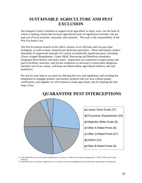#### **SUSTAINABLE AGRICULTURE AND PEST EXCLUSION**

San Joaquin County continues to support local agriculture in many ways, not the least of which is making certain that invasive agricultural pests of significant economic risk are kept out of local orchards, vineyards, and nurseries. This task is the responsibility of the Pest Exclusion Unit.

The Pest Exclusion branch of our office consists of six full-time and two part-time biologists, as well as many seasonal pest detection specialists. These individuals conduct thousands of inspections annually for various economically significant pests, including Glassy-winged Sharpshooter, Gypsy Moth, Burrowing and Reniform nematodes, Diaprepes Root Weevil, and many more. Inspections are conducted at major postal and parcel facilities, nurseries, and private residences as necessary to keep these dangerous intruders out of our county, and keep our billion-dollar agricultural industry safe and productive.

We ask for your help in our quest by obeying the laws and regulations and avoiding the temptation to smuggle produce and nursery products into our area without proper certification, and together we will continue to keep agriculture safe by keeping the bad bugs at bay.



#### **QUARANTINE PEST INTERCEPTIONS**

A- and Q-Rated Pests are of Economic Significance on a State or a Federal Level and are Regulated by USDA, CDFA and County **Officials** 

B- Rated Pests are of Economic Significance on a County Level and are Regulated by Each Individual Agricultural Commissioner.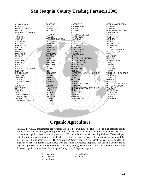#### **San Joaquin County Trading Partners 2005**

AFGHANISTAN ALGERIA AMERICAN SAMOA ANGOLA ANTIGUA AND BARBUDA ARABIA ARGENTINA ARMENIA AUSTRALIA AUSTRIA AZERBAIJAN BAHAMAS BAHRAIN BANGLADESH BARBADOS BELARUS BELGIUM BERMUDA BOLIVIA BOSNIA BRAZIL BRUNEI DARUSSALAM **BULGARIA** BURKINA FASO **CAMBODIA** CAMEROON CANADA CANARY ISLANDS CHILE COLOMBIA COSTA RICA CROATIA **CYPRUS** CZECH REPUBLIC CONGO (Zaire) DENMARK DOMINICAN REPUBLIC

ECUADOR EGYPT EL SALVADOR ESTONIA FIJI FINLAND FRANCE FRENCH POLYNESIA GEORGIA GERMANY GHANA **GREECE** GRENADA GUAM GUATEMALA GUYANA **HAITI HOLLAND HONDURAS** HONG KONG **HUNGARY** ICELAND INDIA INDONESIA IRELAND ISRAEL ITALY JAMAICA JAPAN JORDAN KAZAKHSTAN KENYA KUWAIT LATVIA LEBANON LIBERIA MACAU

MACEDONIA MADAGASCAR MALAWI MALASIA MALTA MARSHALL ISLANDS MARTINIQUE **MAURITIUS MEXICO** MICRONESIA MOLDOVA **MONGOLIA** MONTSERRAT **MOROCCO** MOZAMBIQUE NEPAL NETHERLAND ANTILLES NETHERLANDS NEW CALEDONIA NEW GUINEA NEW ZEALAND NICARAGUA NIGERIA NORTHERN MARIANA ISLANDS NORWAY OMAN PAKISTAN PANAMA PAPUA NEW GUINEA PARAGUAY PEOPLE'S REPUBLIC OF CHINA PERU PHILIPPINES POLAND PORTUGAL PUERTO RICO QATAR

REPUBLIC OF KOREA **REUNION** ROMANIA RUSSIAN FEDERATION SAINT LUCIA **SAMOA** SAUDI ARABIA SENEGAL SERBIA SIERRA LEONE SINGAPORE SLOVENIA SOLOMON ISLANDS SOUTH AFRICA **SPAIN** SRI LANKA SWEDEN **SWITZERLAND** TAHITI TAIWAN **TANZANIA** THAILAND TONGA TRINIDAD AND TOBAGO TUNISIA **TURKEY** UGANDA UKRAINE UNITED ARAB EMIRATES UNITED KINGDOM URUGUAY UZBEKISTAN VENEZUELA VIETNAM ZAMBIA ZIMBABWE

# **Organic Agriculture.**

In 2000, the USDA implemented the National Organics Program (NOP). This was done in an effort to certify the availability of clean, organically grown foods to the American Public. In order to market agricultural products as organic, growers must register with NOP and adhere to a strict set of guidelines. These stringent guidelines help to ensure that all foods labeled as organic are safe for you, safe for the environment and that they are indeed organically grown. The California Organic Products Act of 2003 was enacted in an effort to align the current California Organic laws with the National Organics Program. San Joaquin County has 19 registered growers of organic commodities. In 2005, local growers farmed over 2000 acres to produce 19 different organic commodities. San Joaquin County's top 5 Organic crops are:

1. Peaches

- 4. Almonds 5. Corn
- 2. Cherries
- 3. Walnuts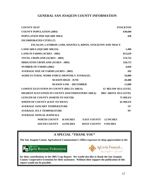#### **GENERAL SAN JOAQUIN COUNTY INFORMATION**

| <b>COUNTY SEAT</b>                                            | <b>STOCKTON</b>              |
|---------------------------------------------------------------|------------------------------|
| <b>COUNTY POPULATION (2003)</b>                               | 630,600                      |
| POPULATION PER SQUARE MILE                                    | 450                          |
| <b>INCORPORATED CITIES (7)</b>                                |                              |
| ESCALON, LATHROP, LODI, MANTECA, RIPON, STOCKTON AND TRACY    |                              |
| <b>LAND AREA (SQUARE MILES)</b>                               | 1,400                        |
| <b>LAND IN FARMS (ACRES - 2002)</b>                           | 812,629                      |
| <b>TOTAL CROPLAND (ACRES - 2002)</b>                          | 574,752                      |
| <b>IRRIGATED CROPLAND (ACRES - 2002)</b>                      | 520,172                      |
| <b>NUMBER OF FARMS (2002)</b>                                 | 4,026                        |
| <b>AVERAGE SIZE OF FARMS (ACRES - 2002)</b>                   | 202                          |
| <b>AGRICULTURAL WORK FORCE (MONTHLY AVERAGE)</b>              | 16,800                       |
| <b>SEASON HIGH - JUNE</b>                                     | 28,400                       |
| <b>SEASON LOW - DECEMBER</b>                                  | 11,000                       |
| <b>LOWEST ELEVATION IN COUNTY (DELTA AREA)</b>                | <b>12' BELOW SEA LEVEL</b>   |
| HIGHEST ELEVATION IN COUNTY (SOUTHWESTERN AREA)               | <b>3065' ABOVE SEA LEVEL</b> |
| LENGTH OF COUNTY (NORTH TO SOUTH)                             | 75 MILES                     |
| WIDTH OF COUNTY (EAST TO WEST)                                | <b>65 MILES</b>              |
| <b>AVERAGE JANUARY TEMPERATURE</b>                            | $53^\circ$                   |
| <b>AVERAGE JULY TEMPERATURE</b>                               | $93^\circ$                   |
| <b>AVERAGE ANNUAL RAINFALL</b>                                |                              |
| <b>NORTH COUNTY</b><br><b>16 INCHES</b><br><b>EAST COUNTY</b> | <b>12 INCHES</b>             |
| <b>14 INCHES</b><br><b>SOUTH COUNTY</b><br><b>WEST COUNTY</b> | <b>9 INCHES</b>              |

#### **A SPECIAL "THANK YOU"**

**The San Joaquin County Agricultural Commissioner's Office expresses its deep appreciation to the** 





**for their contributions to the 2005 Crop Report. We would also like to thank the San Joaquin County Cooperative Extension for their assistance. Without their support the publication of this report would not be possible.**